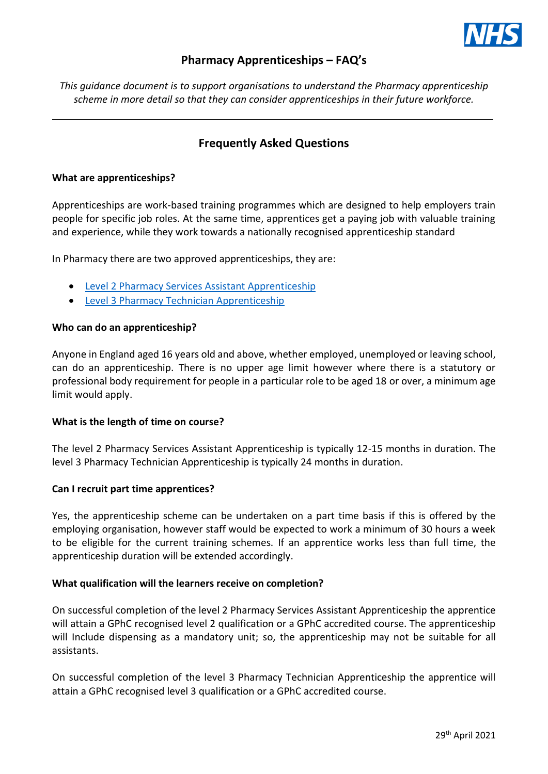

# **Pharmacy Apprenticeships – FAQ's**

*This guidance document is to support organisations to understand the Pharmacy apprenticeship scheme in more detail so that they can consider apprenticeships in their future workforce.* 

# **Frequently Asked Questions**

# **[What are apprenticeships?](https://link.edgepilot.com/s/9a1fa722/nJA1llJDOUugxKOzsM8HsA?u=https://www.lifetimetraining.co.uk/apprenticeships/apprentices/apprenticeship-faqs/%23answer1-anchor_block-17862)**

Apprenticeships are work-based training programmes which are designed to help employers train people for specific job roles. At the same time, apprentices get a paying job with valuable training and experience, while they work towards a nationally recognised apprenticeship standard

In Pharmacy there are two approved apprenticeships, they are:

- [Level 2 Pharmacy Services Assistant Apprenticeship](https://www.instituteforapprenticeships.org/apprenticeship-standards/pharmacy-services-assistant-v1-0)
	- [Level 3 Pharmacy Technician Apprenticeship](https://www.instituteforapprenticeships.org/apprenticeship-standards/pharmacy-technician-(integrated)-v1-0)

# **[Who can do an apprenticeship?](https://link.edgepilot.com/s/d06a9889/PwwTHoXezkqS_194cc-HNw?u=https://www.lifetimetraining.co.uk/apprenticeships/apprentices/apprenticeship-faqs/%23answer0-anchor_block-17862)**

Anyone in England aged 16 years old and above, whether employed, unemployed or leaving school, can do an apprenticeship. There is no upper age limit however where there is a statutory or professional body requirement for people in a particular role to be aged 18 or over, a minimum age limit would apply.

# **What is the length of time on course?**

The level 2 Pharmacy Services Assistant Apprenticeship is typically 12-15 months in duration. The level 3 Pharmacy Technician Apprenticeship is typically 24 months in duration.

# **Can I recruit part time apprentices?**

Yes, the apprenticeship scheme can be undertaken on a part time basis if this is offered by the employing organisation, however staff would be expected to work a minimum of 30 hours a week to be eligible for the current training schemes. If an apprentice works less than full time, the apprenticeship duration will be extended accordingly.

# **What qualification will the learners receive on completion?**

On successful completion of the level 2 Pharmacy Services Assistant Apprenticeship the apprentice will attain a GPhC recognised level 2 qualification or a GPhC accredited course. The apprenticeship will Include dispensing as a mandatory unit; so, the apprenticeship may not be suitable for all assistants.

On successful completion of the level 3 Pharmacy Technician Apprenticeship the apprentice will attain a GPhC recognised level 3 qualification or a GPhC accredited course.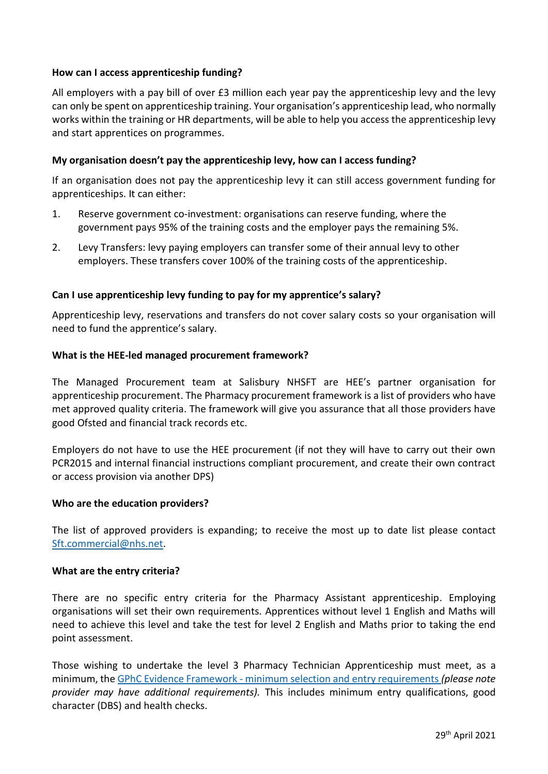# **How can I access apprenticeship funding?**

All employers with a pay bill of over £3 million each year pay the apprenticeship levy and the levy can only be spent on apprenticeship training. Your organisation's apprenticeship lead, who normally works within the training or HR departments, will be able to help you access the apprenticeship levy and start apprentices on programmes.

# **My organisation doesn't pay the apprenticeship levy, how can I access funding?**

If an organisation does not pay the apprenticeship levy it can still access government funding for apprenticeships. It can either:

- 1. Reserve government co-investment: organisations can reserve funding, where the government pays 95% of the training costs and the employer pays the remaining 5%.
- 2. Levy Transfers: levy paying employers can transfer some of their annual levy to other employers. These transfers cover 100% of the training costs of the apprenticeship.

# **Can I use apprenticeship levy funding to pay for my apprentice's salary?**

Apprenticeship levy, reservations and transfers do not cover salary costs so your organisation will need to fund the apprentice's salary.

#### **What is the HEE-led managed procurement framework?**

The Managed Procurement team at Salisbury NHSFT are HEE's partner organisation for apprenticeship procurement. The Pharmacy procurement framework is a list of providers who have met approved quality criteria. The framework will give you assurance that all those providers have good Ofsted and financial track records etc.

Employers do not have to use the HEE procurement (if not they will have to carry out their own PCR2015 and internal financial instructions compliant procurement, and create their own contract or access provision via another DPS)

# **Who are the education providers?**

The list of approved providers is expanding; to receive the most up to date list please contact [Sft.commercial@nhs.net.](mailto:Sft.commercial@nhs.net)

# **What are the entry criteria?**

There are no specific entry criteria for the Pharmacy Assistant apprenticeship. Employing organisations will set their own requirements. Apprentices without level 1 English and Maths will need to achieve this level and take the test for level 2 English and Maths prior to taking the end point assessment.

Those wishing to undertake the level 3 Pharmacy Technician Apprenticeship must meet, as a minimum, the GPhC Evidence Framework - [minimum selection and entry requirements](https://www.pharmacyregulation.org/sites/default/files/document/gphc_initial_education_and_training_of_pharmacy_technicians_evidence_framework_april_2018.pdf) *(please note provider may have additional requirements).* This includes minimum entry qualifications, good character (DBS) and health checks.